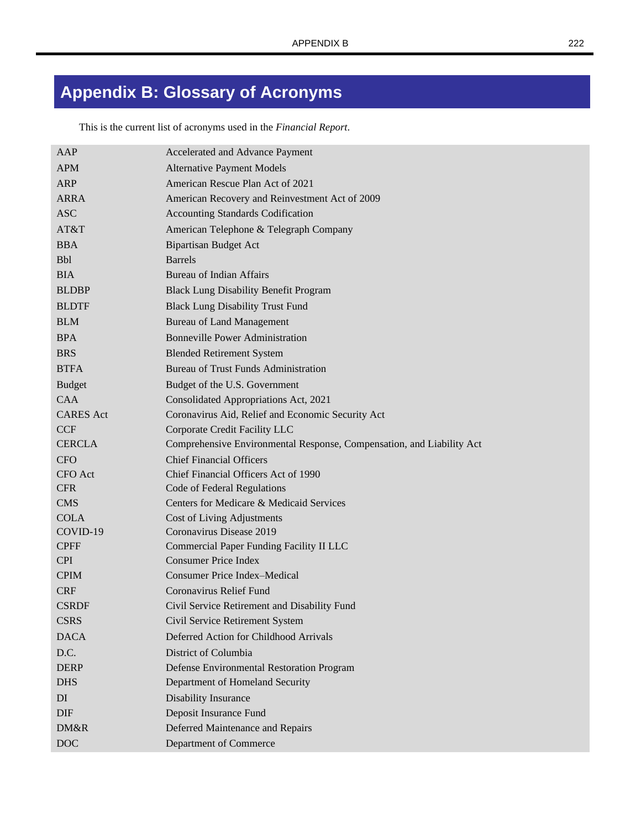## **Appendix B: Glossary of Acronyms**

This is the current list of acronyms used in the *Financial Report*.

| AAP              | Accelerated and Advance Payment                                       |
|------------------|-----------------------------------------------------------------------|
| <b>APM</b>       | <b>Alternative Payment Models</b>                                     |
| <b>ARP</b>       | American Rescue Plan Act of 2021                                      |
| <b>ARRA</b>      | American Recovery and Reinvestment Act of 2009                        |
| <b>ASC</b>       | <b>Accounting Standards Codification</b>                              |
| AT&T             | American Telephone & Telegraph Company                                |
| <b>BBA</b>       | <b>Bipartisan Budget Act</b>                                          |
| <b>Bbl</b>       | <b>Barrels</b>                                                        |
| <b>BIA</b>       | <b>Bureau of Indian Affairs</b>                                       |
| <b>BLDBP</b>     | <b>Black Lung Disability Benefit Program</b>                          |
| <b>BLDTF</b>     | <b>Black Lung Disability Trust Fund</b>                               |
| <b>BLM</b>       | <b>Bureau of Land Management</b>                                      |
| <b>BPA</b>       | <b>Bonneville Power Administration</b>                                |
| <b>BRS</b>       | <b>Blended Retirement System</b>                                      |
| <b>BTFA</b>      | <b>Bureau of Trust Funds Administration</b>                           |
| <b>Budget</b>    | Budget of the U.S. Government                                         |
| <b>CAA</b>       | Consolidated Appropriations Act, 2021                                 |
| <b>CARES</b> Act | Coronavirus Aid, Relief and Economic Security Act                     |
| <b>CCF</b>       | Corporate Credit Facility LLC                                         |
| <b>CERCLA</b>    | Comprehensive Environmental Response, Compensation, and Liability Act |
| <b>CFO</b>       | <b>Chief Financial Officers</b>                                       |
| <b>CFO</b> Act   | Chief Financial Officers Act of 1990                                  |
| <b>CFR</b>       | Code of Federal Regulations                                           |
| <b>CMS</b>       | Centers for Medicare & Medicaid Services                              |
| <b>COLA</b>      | Cost of Living Adjustments                                            |
| COVID-19         | Coronavirus Disease 2019                                              |
| <b>CPFF</b>      | Commercial Paper Funding Facility II LLC                              |
| <b>CPI</b>       | <b>Consumer Price Index</b>                                           |
| <b>CPIM</b>      | <b>Consumer Price Index–Medical</b>                                   |
| <b>CRF</b>       | Coronavirus Relief Fund                                               |
| <b>CSRDF</b>     | Civil Service Retirement and Disability Fund                          |
| <b>CSRS</b>      | Civil Service Retirement System                                       |
| <b>DACA</b>      | Deferred Action for Childhood Arrivals                                |
| D.C.             | District of Columbia                                                  |
| <b>DERP</b>      | Defense Environmental Restoration Program                             |
| <b>DHS</b>       | Department of Homeland Security                                       |
| DI               | Disability Insurance                                                  |
| <b>DIF</b>       | Deposit Insurance Fund                                                |
| DM&R             | Deferred Maintenance and Repairs                                      |
|                  |                                                                       |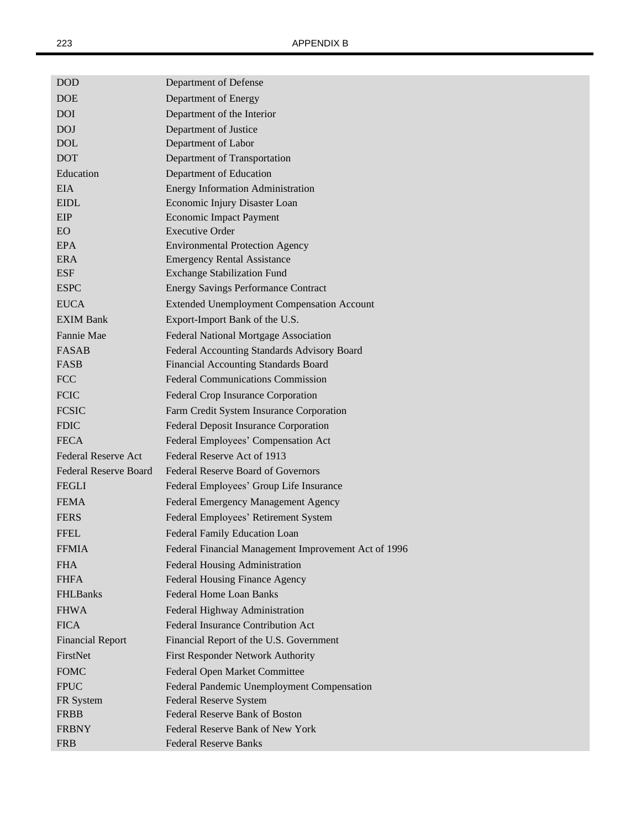| <b>DOD</b>                   | Department of Defense                                |
|------------------------------|------------------------------------------------------|
| <b>DOE</b>                   | Department of Energy                                 |
| <b>DOI</b>                   | Department of the Interior                           |
| <b>DOJ</b>                   | Department of Justice                                |
| <b>DOL</b>                   | Department of Labor                                  |
| <b>DOT</b>                   | Department of Transportation                         |
| Education                    | Department of Education                              |
| EIA                          | <b>Energy Information Administration</b>             |
| <b>EIDL</b>                  | Economic Injury Disaster Loan                        |
| EIP                          | <b>Economic Impact Payment</b>                       |
| EO.                          | <b>Executive Order</b>                               |
| EPA                          | <b>Environmental Protection Agency</b>               |
| <b>ERA</b>                   | <b>Emergency Rental Assistance</b>                   |
| <b>ESF</b>                   | <b>Exchange Stabilization Fund</b>                   |
| <b>ESPC</b>                  | <b>Energy Savings Performance Contract</b>           |
| <b>EUCA</b>                  | <b>Extended Unemployment Compensation Account</b>    |
| <b>EXIM Bank</b>             | Export-Import Bank of the U.S.                       |
| Fannie Mae                   | Federal National Mortgage Association                |
| <b>FASAB</b>                 | Federal Accounting Standards Advisory Board          |
| <b>FASB</b>                  | <b>Financial Accounting Standards Board</b>          |
| <b>FCC</b>                   | <b>Federal Communications Commission</b>             |
| <b>FCIC</b>                  | Federal Crop Insurance Corporation                   |
| <b>FCSIC</b>                 | Farm Credit System Insurance Corporation             |
| <b>FDIC</b>                  | <b>Federal Deposit Insurance Corporation</b>         |
| <b>FECA</b>                  | Federal Employees' Compensation Act                  |
| Federal Reserve Act          | Federal Reserve Act of 1913                          |
| <b>Federal Reserve Board</b> | <b>Federal Reserve Board of Governors</b>            |
| <b>FEGLI</b>                 | Federal Employees' Group Life Insurance              |
| <b>FEMA</b>                  | Federal Emergency Management Agency                  |
| <b>FERS</b>                  | Federal Employees' Retirement System                 |
| <b>FFEL</b>                  | Federal Family Education Loan                        |
| <b>FFMIA</b>                 | Federal Financial Management Improvement Act of 1996 |
| <b>FHA</b>                   | Federal Housing Administration                       |
| <b>FHFA</b>                  | Federal Housing Finance Agency                       |
| <b>FHLBanks</b>              | <b>Federal Home Loan Banks</b>                       |
| <b>FHWA</b>                  | Federal Highway Administration                       |
| <b>FICA</b>                  | <b>Federal Insurance Contribution Act</b>            |
| <b>Financial Report</b>      | Financial Report of the U.S. Government              |
| FirstNet                     | First Responder Network Authority                    |
| <b>FOMC</b>                  | Federal Open Market Committee                        |
| <b>FPUC</b>                  | Federal Pandemic Unemployment Compensation           |
| FR System                    | Federal Reserve System                               |
| <b>FRBB</b>                  | Federal Reserve Bank of Boston                       |
| <b>FRBNY</b>                 | Federal Reserve Bank of New York                     |
| <b>FRB</b>                   | <b>Federal Reserve Banks</b>                         |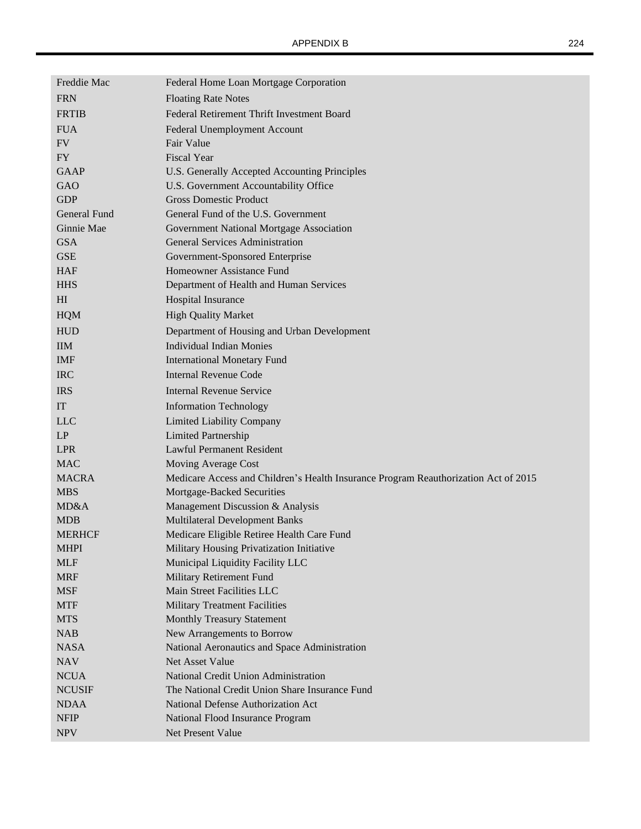| Freddie Mac    | Federal Home Loan Mortgage Corporation                                              |
|----------------|-------------------------------------------------------------------------------------|
| <b>FRN</b>     | <b>Floating Rate Notes</b>                                                          |
| <b>FRTIB</b>   | Federal Retirement Thrift Investment Board                                          |
| <b>FUA</b>     | Federal Unemployment Account                                                        |
| <b>FV</b>      | Fair Value                                                                          |
| <b>FY</b>      | <b>Fiscal Year</b>                                                                  |
| <b>GAAP</b>    | U.S. Generally Accepted Accounting Principles                                       |
| GAO            | U.S. Government Accountability Office                                               |
| <b>GDP</b>     | <b>Gross Domestic Product</b>                                                       |
| General Fund   | General Fund of the U.S. Government                                                 |
| Ginnie Mae     | Government National Mortgage Association                                            |
| <b>GSA</b>     | <b>General Services Administration</b>                                              |
| <b>GSE</b>     | Government-Sponsored Enterprise                                                     |
| <b>HAF</b>     | Homeowner Assistance Fund                                                           |
| <b>HHS</b>     | Department of Health and Human Services                                             |
| H <sub>I</sub> | Hospital Insurance                                                                  |
| <b>HQM</b>     | <b>High Quality Market</b>                                                          |
| <b>HUD</b>     | Department of Housing and Urban Development                                         |
| <b>IIM</b>     | <b>Individual Indian Monies</b>                                                     |
| <b>IMF</b>     | <b>International Monetary Fund</b>                                                  |
| <b>IRC</b>     | <b>Internal Revenue Code</b>                                                        |
| <b>IRS</b>     | <b>Internal Revenue Service</b>                                                     |
| IT             | <b>Information Technology</b>                                                       |
| <b>LLC</b>     | <b>Limited Liability Company</b>                                                    |
| LP             | <b>Limited Partnership</b>                                                          |
| <b>LPR</b>     | <b>Lawful Permanent Resident</b>                                                    |
| <b>MAC</b>     | Moving Average Cost                                                                 |
| <b>MACRA</b>   | Medicare Access and Children's Health Insurance Program Reauthorization Act of 2015 |
| <b>MBS</b>     | Mortgage-Backed Securities                                                          |
| MD&A           | Management Discussion & Analysis                                                    |
| <b>MDB</b>     | <b>Multilateral Development Banks</b>                                               |
| <b>MERHCF</b>  | Medicare Eligible Retiree Health Care Fund                                          |
| <b>MHPI</b>    | Military Housing Privatization Initiative                                           |
| <b>MLF</b>     | Municipal Liquidity Facility LLC                                                    |
| <b>MRF</b>     | Military Retirement Fund                                                            |
| <b>MSF</b>     | Main Street Facilities LLC                                                          |
| <b>MTF</b>     | <b>Military Treatment Facilities</b>                                                |
| <b>MTS</b>     | <b>Monthly Treasury Statement</b>                                                   |
| <b>NAB</b>     | New Arrangements to Borrow                                                          |
| <b>NASA</b>    | National Aeronautics and Space Administration                                       |
| <b>NAV</b>     | Net Asset Value                                                                     |
| <b>NCUA</b>    | National Credit Union Administration                                                |
| <b>NCUSIF</b>  | The National Credit Union Share Insurance Fund                                      |
| <b>NDAA</b>    | National Defense Authorization Act                                                  |
| <b>NFIP</b>    | National Flood Insurance Program                                                    |
| <b>NPV</b>     | Net Present Value                                                                   |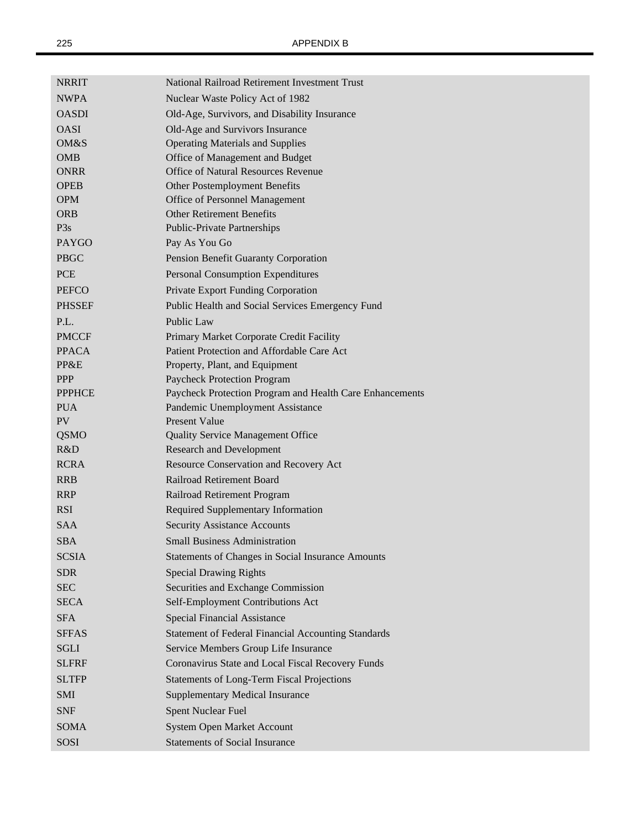| <b>NRRIT</b>  | National Railroad Retirement Investment Trust              |
|---------------|------------------------------------------------------------|
| <b>NWPA</b>   | Nuclear Waste Policy Act of 1982                           |
| <b>OASDI</b>  | Old-Age, Survivors, and Disability Insurance               |
| <b>OASI</b>   | Old-Age and Survivors Insurance                            |
| OM&S          | <b>Operating Materials and Supplies</b>                    |
| <b>OMB</b>    | Office of Management and Budget                            |
| <b>ONRR</b>   | <b>Office of Natural Resources Revenue</b>                 |
| <b>OPEB</b>   | Other Postemployment Benefits                              |
| <b>OPM</b>    | Office of Personnel Management                             |
| <b>ORB</b>    | <b>Other Retirement Benefits</b>                           |
| P3s           | <b>Public-Private Partnerships</b>                         |
| <b>PAYGO</b>  | Pay As You Go                                              |
| <b>PBGC</b>   | Pension Benefit Guaranty Corporation                       |
| <b>PCE</b>    | <b>Personal Consumption Expenditures</b>                   |
| <b>PEFCO</b>  | Private Export Funding Corporation                         |
| <b>PHSSEF</b> | Public Health and Social Services Emergency Fund           |
| P.L.          | Public Law                                                 |
| <b>PMCCF</b>  | Primary Market Corporate Credit Facility                   |
| <b>PPACA</b>  | Patient Protection and Affordable Care Act                 |
| PP&E          | Property, Plant, and Equipment                             |
| <b>PPP</b>    | Paycheck Protection Program                                |
| <b>PPPHCE</b> | Paycheck Protection Program and Health Care Enhancements   |
| <b>PUA</b>    | Pandemic Unemployment Assistance                           |
| PV            | <b>Present Value</b>                                       |
| <b>QSMO</b>   | Quality Service Management Office                          |
| R&D           | <b>Research and Development</b>                            |
| <b>RCRA</b>   | Resource Conservation and Recovery Act                     |
| <b>RRB</b>    | Railroad Retirement Board                                  |
| <b>RRP</b>    | Railroad Retirement Program                                |
| <b>RSI</b>    | Required Supplementary Information                         |
| <b>SAA</b>    | <b>Security Assistance Accounts</b>                        |
| <b>SBA</b>    | <b>Small Business Administration</b>                       |
| <b>SCSIA</b>  | <b>Statements of Changes in Social Insurance Amounts</b>   |
| <b>SDR</b>    | <b>Special Drawing Rights</b>                              |
| <b>SEC</b>    | Securities and Exchange Commission                         |
| SECA          | Self-Employment Contributions Act                          |
| <b>SFA</b>    | <b>Special Financial Assistance</b>                        |
| <b>SFFAS</b>  | <b>Statement of Federal Financial Accounting Standards</b> |
| <b>SGLI</b>   | Service Members Group Life Insurance                       |
| <b>SLFRF</b>  | Coronavirus State and Local Fiscal Recovery Funds          |
|               |                                                            |
| <b>SLTFP</b>  | <b>Statements of Long-Term Fiscal Projections</b>          |
| <b>SMI</b>    | <b>Supplementary Medical Insurance</b>                     |
| <b>SNF</b>    | <b>Spent Nuclear Fuel</b>                                  |
| <b>SOMA</b>   | <b>System Open Market Account</b>                          |
| SOSI          | <b>Statements of Social Insurance</b>                      |